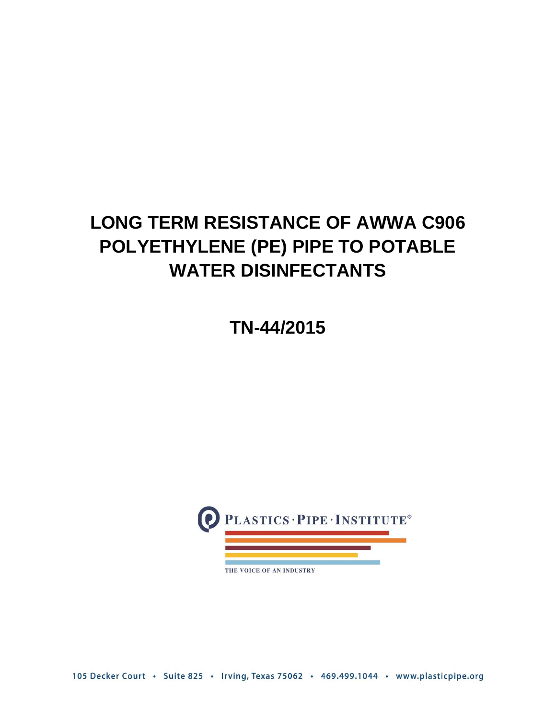# **LONG TERM RESISTANCE OF AWWA C906 POLYETHYLENE (PE) PIPE TO POTABLE WATER DISINFECTANTS**

**TN-44/2015**



THE VOICE OF AN INDUSTRY

105 Decker Court · Suite 825 · Irving, Texas 75062 · 469.499.1044 · www.plasticpipe.org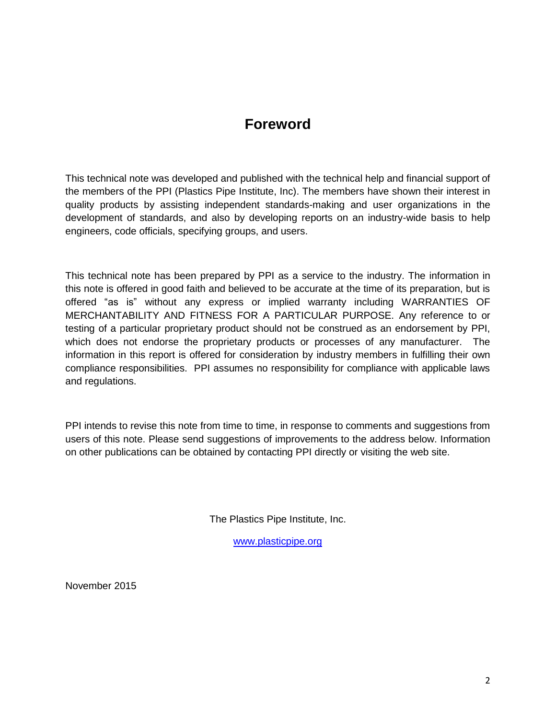# **Foreword**

This technical note was developed and published with the technical help and financial support of the members of the PPI (Plastics Pipe Institute, Inc). The members have shown their interest in quality products by assisting independent standards-making and user organizations in the development of standards, and also by developing reports on an industry-wide basis to help engineers, code officials, specifying groups, and users.

This technical note has been prepared by PPI as a service to the industry. The information in this note is offered in good faith and believed to be accurate at the time of its preparation, but is offered "as is" without any express or implied warranty including WARRANTIES OF MERCHANTABILITY AND FITNESS FOR A PARTICULAR PURPOSE. Any reference to or testing of a particular proprietary product should not be construed as an endorsement by PPI, which does not endorse the proprietary products or processes of any manufacturer. The information in this report is offered for consideration by industry members in fulfilling their own compliance responsibilities. PPI assumes no responsibility for compliance with applicable laws and regulations.

PPI intends to revise this note from time to time, in response to comments and suggestions from users of this note. Please send suggestions of improvements to the address below. Information on other publications can be obtained by contacting PPI directly or visiting the web site.

The Plastics Pipe Institute, Inc.

[www.plasticpipe.org](http://www.plasticpipe.org/)

November 2015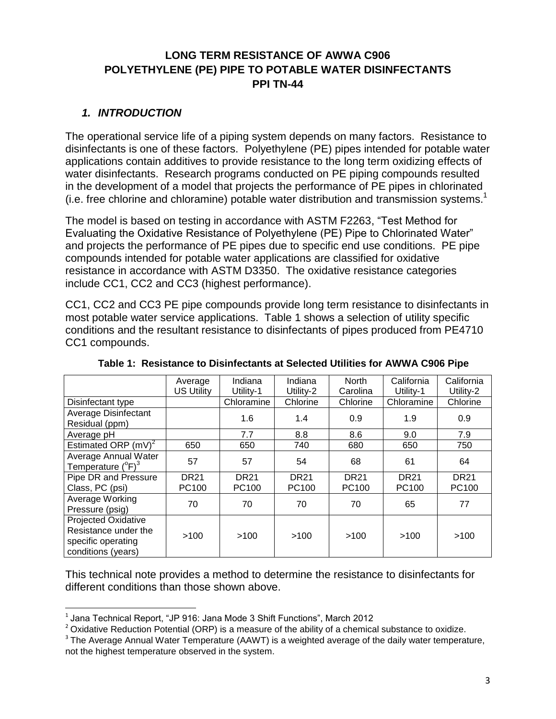# **LONG TERM RESISTANCE OF AWWA C906 POLYETHYLENE (PE) PIPE TO POTABLE WATER DISINFECTANTS PPI TN-44**

#### *1. INTRODUCTION*

The operational service life of a piping system depends on many factors. Resistance to disinfectants is one of these factors. Polyethylene (PE) pipes intended for potable water applications contain additives to provide resistance to the long term oxidizing effects of water disinfectants. Research programs conducted on PE piping compounds resulted in the development of a model that projects the performance of PE pipes in chlorinated (i.e. free chlorine and chloramine) potable water distribution and transmission systems. 1

The model is based on testing in accordance with ASTM F2263, "Test Method for Evaluating the Oxidative Resistance of Polyethylene (PE) Pipe to Chlorinated Water" and projects the performance of PE pipes due to specific end use conditions. PE pipe compounds intended for potable water applications are classified for oxidative resistance in accordance with ASTM D3350. The oxidative resistance categories include CC1, CC2 and CC3 (highest performance).

CC1, CC2 and CC3 PE pipe compounds provide long term resistance to disinfectants in most potable water service applications. Table 1 shows a selection of utility specific conditions and the resultant resistance to disinfectants of pipes produced from PE4710 CC1 compounds.

|                                                                                                | Average           | Indiana     | Indiana     | North       | California  | California  |
|------------------------------------------------------------------------------------------------|-------------------|-------------|-------------|-------------|-------------|-------------|
|                                                                                                | <b>US Utility</b> | Utility-1   | Utility-2   | Carolina    | Utility-1   | Utility-2   |
| Disinfectant type                                                                              |                   | Chloramine  | Chlorine    | Chlorine    | Chloramine  | Chlorine    |
| <b>Average Disinfectant</b><br>Residual (ppm)                                                  |                   | 1.6         | 1.4         | 0.9         | 1.9         | 0.9         |
| Average pH                                                                                     |                   | 7.7         | 8.8         | 8.6         | 9.0         | 7.9         |
| Estimated ORP $(mV)^2$                                                                         | 650               | 650         | 740         | 680         | 650         | 750         |
| Average Annual Water<br>Temperature $(^{\circ}F)^{3}$                                          | 57                | 57          | 54          | 68          | 61          | 64          |
| Pipe DR and Pressure                                                                           | <b>DR21</b>       | <b>DR21</b> | <b>DR21</b> | <b>DR21</b> | <b>DR21</b> | <b>DR21</b> |
| Class, PC (psi)                                                                                | PC100             | PC100       | PC100       | PC100       | PC100       | PC100       |
| Average Working<br>Pressure (psig)                                                             | 70                | 70          | 70          | 70          | 65          | 77          |
| <b>Projected Oxidative</b><br>Resistance under the<br>specific operating<br>conditions (years) | >100              | >100        | >100        | >100        | >100        | >100        |

**Table 1: Resistance to Disinfectants at Selected Utilities for AWWA C906 Pipe**

This technical note provides a method to determine the resistance to disinfectants for different conditions than those shown above.

 1 Jana Technical Report, "JP 916: Jana Mode 3 Shift Functions", March 2012

 $2$  Oxidative Reduction Potential (ORP) is a measure of the ability of a chemical substance to oxidize.

 $3$  The Average Annual Water Temperature (AAWT) is a weighted average of the daily water temperature, not the highest temperature observed in the system.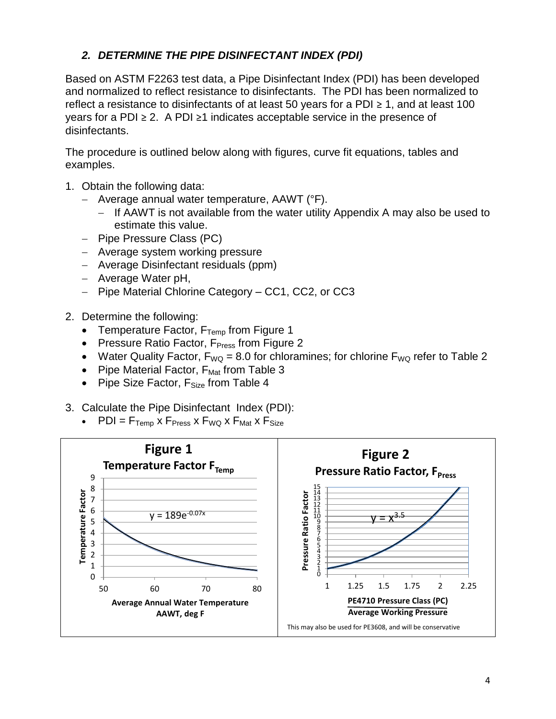# *2. DETERMINE THE PIPE DISINFECTANT INDEX (PDI)*

Based on ASTM F2263 test data, a Pipe Disinfectant Index (PDI) has been developed and normalized to reflect resistance to disinfectants. The PDI has been normalized to reflect a resistance to disinfectants of at least 50 years for a PDI  $\geq$  1, and at least 100 years for a PDI ≥ 2. A PDI ≥1 indicates acceptable service in the presence of disinfectants.

The procedure is outlined below along with figures, curve fit equations, tables and examples.

- 1. Obtain the following data:
	- Average annual water temperature,  $AAWT$  ( ${}^{\circ}F$ ).
		- If AAWT is not available from the water utility Appendix A may also be used to estimate this value.
	- Pipe Pressure Class (PC)
	- Average system working pressure
	- Average Disinfectant residuals (ppm)
	- Average Water pH,
	- Pipe Material Chlorine Category CC1, CC2, or CC3
- 2. Determine the following:
	- Temperature Factor,  $F_{Temp}$  from Figure 1
	- Pressure Ratio Factor,  $F<sub>Press</sub>$  from Figure 2
	- Water Quality Factor,  $F_{WQ} = 8.0$  for chloramines; for chlorine  $F_{WQ}$  refer to Table 2
	- Pipe Material Factor,  $F_{\text{Mat}}$  from Table 3
	- Pipe Size Factor,  $F_{Size}$  from Table 4
- 3. Calculate the Pipe Disinfectant Index (PDI):
	- $PDI = F_{Temp}$  x  $F_{Press}$  x  $F_{WQ}$  x  $F_{Mat}$  x  $F_{Size}$

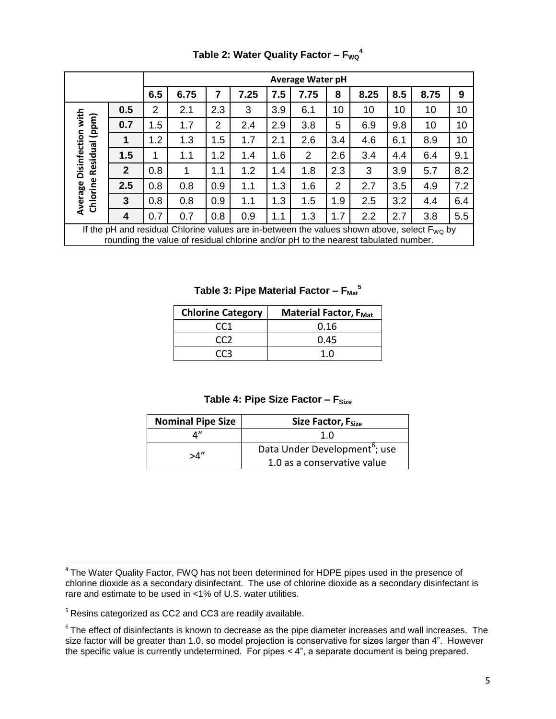|                                                                                                                                                                                        |              |                | <b>Average Water pH</b> |     |      |     |      |                |      |     |      |     |
|----------------------------------------------------------------------------------------------------------------------------------------------------------------------------------------|--------------|----------------|-------------------------|-----|------|-----|------|----------------|------|-----|------|-----|
|                                                                                                                                                                                        |              | 6.5            | 6.75                    | 7   | 7.25 | 7.5 | 7.75 | 8              | 8.25 | 8.5 | 8.75 | 9   |
|                                                                                                                                                                                        | 0.5          | $\overline{2}$ | 2.1                     | 2.3 | 3    | 3.9 | 6.1  | 10             | 10   | 10  | 10   | 10  |
| Disinfection with<br>Residual (ppm)                                                                                                                                                    | 0.7          | 1.5            | 1.7                     | 2   | 2.4  | 2.9 | 3.8  | 5              | 6.9  | 9.8 | 10   | 10  |
|                                                                                                                                                                                        |              | 1.2            | 1.3                     | 1.5 | 1.7  | 2.1 | 2.6  | 3.4            | 4.6  | 6.1 | 8.9  | 10  |
|                                                                                                                                                                                        | 1.5          | 1              | 1.1                     | 1.2 | 1.4  | 1.6 | 2    | 2.6            | 3.4  | 4.4 | 6.4  | 9.1 |
|                                                                                                                                                                                        | $\mathbf{2}$ | 0.8            | 1                       | 1.1 | 1.2  | 1.4 | 1.8  | 2.3            | 3    | 3.9 | 5.7  | 8.2 |
| Chlorine                                                                                                                                                                               | 2.5          | 0.8            | 0.8                     | 0.9 | 1.1  | 1.3 | 1.6  | $\overline{2}$ | 2.7  | 3.5 | 4.9  | 7.2 |
| Average                                                                                                                                                                                | 3            | 0.8            | 0.8                     | 0.9 | 1.1  | 1.3 | 1.5  | 1.9            | 2.5  | 3.2 | 4.4  | 6.4 |
|                                                                                                                                                                                        | 4            | 0.7            | 0.7                     | 0.8 | 0.9  | 1.1 | 1.3  | 1.7            | 2.2  | 2.7 | 3.8  | 5.5 |
| If the pH and residual Chlorine values are in-between the values shown above, select $F_{WO}$ by<br>rounding the value of residual chlorine and/or pH to the nearest tabulated number. |              |                |                         |     |      |     |      |                |      |     |      |     |

**Table 2: Water Quality Factor – FWQ 4**

**Table 3: Pipe Material Factor – FMat 5**

| <b>Chlorine Category</b> | <b>Material Factor, FMat</b> |  |  |  |
|--------------------------|------------------------------|--|--|--|
| CC <sub>1</sub>          | 0.16                         |  |  |  |
| CCZ                      | 0.45                         |  |  |  |
| (( ⊀                     |                              |  |  |  |

#### **Table 4: Pipe Size Factor – F<sub>Size</sub>**

| <b>Nominal Pipe Size</b> | Size Factor, F <sub>Size</sub>            |  |  |  |  |
|--------------------------|-------------------------------------------|--|--|--|--|
|                          | 1.0                                       |  |  |  |  |
| "⊿∝                      | Data Under Development <sup>6</sup> ; use |  |  |  |  |
|                          | 1.0 as a conservative value               |  |  |  |  |

<sup>5</sup> Resins categorized as CC2 and CC3 are readily available.

 $\overline{\phantom{a}}$ 

<sup>&</sup>lt;sup>4</sup> The Water Quality Factor, FWQ has not been determined for HDPE pipes used in the presence of chlorine dioxide as a secondary disinfectant. The use of chlorine dioxide as a secondary disinfectant is rare and estimate to be used in <1% of U.S. water utilities.

 $6$  The effect of disinfectants is known to decrease as the pipe diameter increases and wall increases. The size factor will be greater than 1.0, so model projection is conservative for sizes larger than 4". However the specific value is currently undetermined. For pipes < 4", a separate document is being prepared.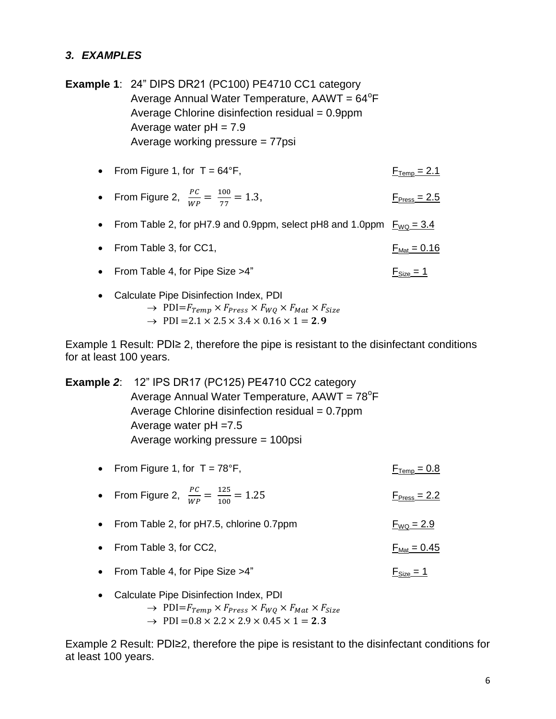#### *3. EXAMPLES*

**Example 1**: 24" DIPS DR21 (PC100) PE4710 CC1 category Average Annual Water Temperature, AAWT = 64<sup>°</sup>F Average Chlorine disinfection residual  $= 0.9$ ppm Average water  $pH = 7.9$ Average working pressure = 77psi

• From Figure 1, for  $T = 64^{\circ}F$ ,  $F_{\text{Temp}} = 2.1$ 

• From Figure 2, 
$$
\frac{PC}{WP} = \frac{100}{77} = 1.3
$$
, F<sub>Press</sub> = 2.5

From Table 2, for pH7.9 and 0.9ppm, select pH8 and 1.0ppm  $F_{WQ} = 3.4$ 

• From Table 3, for CC1,  $F_{Mat} = 0.16$ 

- From Table 4, for Pipe Size > 4" Figure  $\frac{F_{\text{Size}} = 1}{F}$
- Calculate Pipe Disinfection Index, PDI
	- $\rightarrow$  PDI= $F_{Temp} \times F_{Press} \times F_{WQ} \times F_{Mat} \times F_{Size}$  $\rightarrow$  PDI = 2.1  $\times$  2.5  $\times$  3.4  $\times$  0.16  $\times$  1 = 2.9

Example 1 Result: PDI≥ 2, therefore the pipe is resistant to the disinfectant conditions for at least 100 years.

**Example** *2*: 12" IPS DR17 (PC125) PE4710 CC2 category Average Annual Water Temperature, AAWT = 78<sup>°</sup>F Average Chlorine disinfection residual = 0.7ppm Average water pH =7.5 Average working pressure = 100psi

- From Figure 1, for  $T = 78^{\circ}F$ , From Figure 1, for  $T = 78^{\circ}F$ ,
- From Figure 2,  $\frac{PC}{W}$  $\frac{PC}{WP} = \frac{125}{100}$ 100  $F<sub>Press</sub> = 2.2$
- From Table 2, for pH7.5, chlorine 0.7ppm  $F_{WQ} = 2.9$
- From Table 3, for CC2,  $F_{\text{Mat}} = 0.45$
- From Table 4, for Pipe Size > 4" For  $F_{Size} = 1$
- Calculate Pipe Disinfection Index, PDI
	- $\rightarrow$  PDI= $F_{Temp} \times F_{Press} \times F_{WQ} \times F_{Mat} \times F_{Size}$  $\rightarrow$  PDI = 0.8  $\times$  2.2  $\times$  2.9  $\times$  0.45  $\times$  1 = 2.3
	-

Example 2 Result: PDI≥2, therefore the pipe is resistant to the disinfectant conditions for at least 100 years.